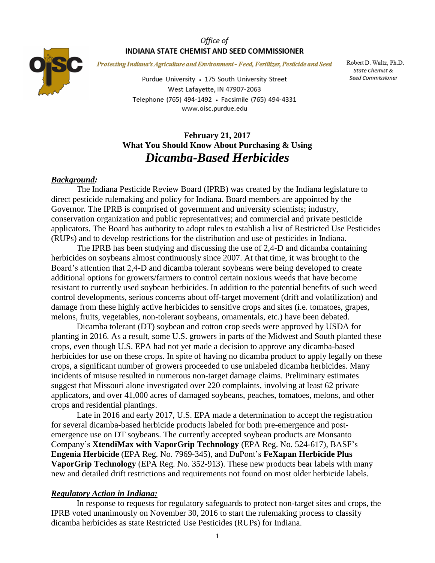#### Office of INDIANA STATE CHEMIST AND SEED COMMISSIONER



Protecting Indiana's Agriculture and Environment - Feed, Fertilizer, Pesticide and Seed

Purdue University • 175 South University Street West Lafayette, IN 47907-2063 Telephone (765) 494-1492 · Facsimile (765) 494-4331 www.oisc.purdue.edu

Robert D. Waltz, Ph.D. State Chemist & Seed Commissioner

# **February 21, 2017 What You Should Know About Purchasing & Using** *Dicamba-Based Herbicides*

#### *Background:*

The Indiana Pesticide Review Board (IPRB) was created by the Indiana legislature to direct pesticide rulemaking and policy for Indiana. Board members are appointed by the Governor. The IPRB is comprised of government and university scientists; industry, conservation organization and public representatives; and commercial and private pesticide applicators. The Board has authority to adopt rules to establish a list of Restricted Use Pesticides (RUPs) and to develop restrictions for the distribution and use of pesticides in Indiana.

The IPRB has been studying and discussing the use of 2,4-D and dicamba containing herbicides on soybeans almost continuously since 2007. At that time, it was brought to the Board's attention that 2,4-D and dicamba tolerant soybeans were being developed to create additional options for growers/farmers to control certain noxious weeds that have become resistant to currently used soybean herbicides. In addition to the potential benefits of such weed control developments, serious concerns about off-target movement (drift and volatilization) and damage from these highly active herbicides to sensitive crops and sites (i.e. tomatoes, grapes, melons, fruits, vegetables, non-tolerant soybeans, ornamentals, etc.) have been debated.

Dicamba tolerant (DT) soybean and cotton crop seeds were approved by USDA for planting in 2016. As a result, some U.S. growers in parts of the Midwest and South planted these crops, even though U.S. EPA had not yet made a decision to approve any dicamba-based herbicides for use on these crops. In spite of having no dicamba product to apply legally on these crops, a significant number of growers proceeded to use unlabeled dicamba herbicides. Many incidents of misuse resulted in numerous non-target damage claims. Preliminary estimates suggest that Missouri alone investigated over 220 complaints, involving at least 62 private applicators, and over 41,000 acres of damaged soybeans, peaches, tomatoes, melons, and other crops and residential plantings.

Late in 2016 and early 2017, U.S. EPA made a determination to accept the registration for several dicamba-based herbicide products labeled for both pre-emergence and postemergence use on DT soybeans. The currently accepted soybean products are Monsanto Company's **XtendiMax with VaporGrip Technology** (EPA Reg. No. 524-617), BASF's **Engenia Herbicide** (EPA Reg. No. 7969-345), and DuPont's **FeXapan Herbicide Plus VaporGrip Technology** (EPA Reg. No. 352-913). These new products bear labels with many new and detailed drift restrictions and requirements not found on most older herbicide labels.

#### *Regulatory Action in Indiana:*

In response to requests for regulatory safeguards to protect non-target sites and crops, the IPRB voted unanimously on November 30, 2016 to start the rulemaking process to classify dicamba herbicides as state Restricted Use Pesticides (RUPs) for Indiana.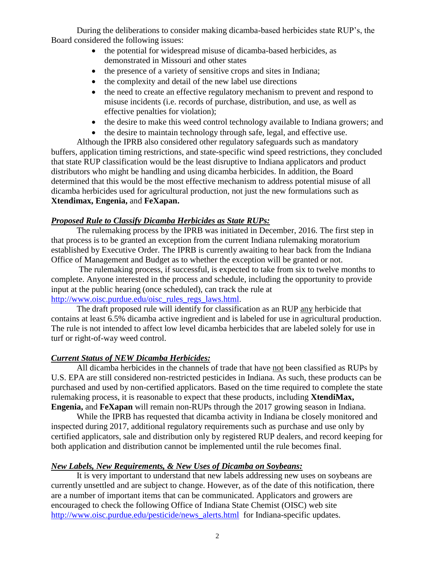During the deliberations to consider making dicamba-based herbicides state RUP's, the Board considered the following issues:

- the potential for widespread misuse of dicamba-based herbicides, as demonstrated in Missouri and other states
- the presence of a variety of sensitive crops and sites in Indiana;
- the complexity and detail of the new label use directions
- the need to create an effective regulatory mechanism to prevent and respond to misuse incidents (i.e. records of purchase, distribution, and use, as well as effective penalties for violation);
- the desire to make this weed control technology available to Indiana growers; and
- the desire to maintain technology through safe, legal, and effective use.

Although the IPRB also considered other regulatory safeguards such as mandatory buffers, application timing restrictions, and state-specific wind speed restrictions, they concluded that state RUP classification would be the least disruptive to Indiana applicators and product distributors who might be handling and using dicamba herbicides. In addition, the Board determined that this would be the most effective mechanism to address potential misuse of all dicamba herbicides used for agricultural production, not just the new formulations such as **Xtendimax, Engenia,** and **FeXapan.**

### *Proposed Rule to Classify Dicamba Herbicides as State RUPs:*

The rulemaking process by the IPRB was initiated in December, 2016. The first step in that process is to be granted an exception from the current Indiana rulemaking moratorium established by Executive Order. The IPRB is currently awaiting to hear back from the Indiana Office of Management and Budget as to whether the exception will be granted or not.

The rulemaking process, if successful, is expected to take from six to twelve months to complete. Anyone interested in the process and schedule, including the opportunity to provide input at the public hearing (once scheduled), can track the rule at [http://www.oisc.purdue.edu/oisc\\_rules\\_regs\\_laws.html.](http://www.oisc.purdue.edu/oisc_rules_regs_laws.html)

The draft proposed rule will identify for classification as an RUP any herbicide that contains at least 6.5% dicamba active ingredient and is labeled for use in agricultural production. The rule is not intended to affect low level dicamba herbicides that are labeled solely for use in turf or right-of-way weed control.

# *Current Status of NEW Dicamba Herbicides:*

All dicamba herbicides in the channels of trade that have not been classified as RUPs by U.S. EPA are still considered non-restricted pesticides in Indiana. As such, these products can be purchased and used by non-certified applicators. Based on the time required to complete the state rulemaking process, it is reasonable to expect that these products, including **XtendiMax, Engenia,** and **FeXapan** will remain non-RUPs through the 2017 growing season in Indiana.

While the IPRB has requested that dicamba activity in Indiana be closely monitored and inspected during 2017, additional regulatory requirements such as purchase and use only by certified applicators, sale and distribution only by registered RUP dealers, and record keeping for both application and distribution cannot be implemented until the rule becomes final.

# *New Labels, New Requirements, & New Uses of Dicamba on Soybeans:*

It is very important to understand that new labels addressing new uses on soybeans are currently unsettled and are subject to change. However, as of the date of this notification, there are a number of important items that can be communicated. Applicators and growers are encouraged to check the following Office of Indiana State Chemist (OISC) web site [http://www.oisc.purdue.edu/pesticide/news\\_alerts.html](http://www.oisc.purdue.edu/pesticide/news_alerts.html) for Indiana-specific updates.